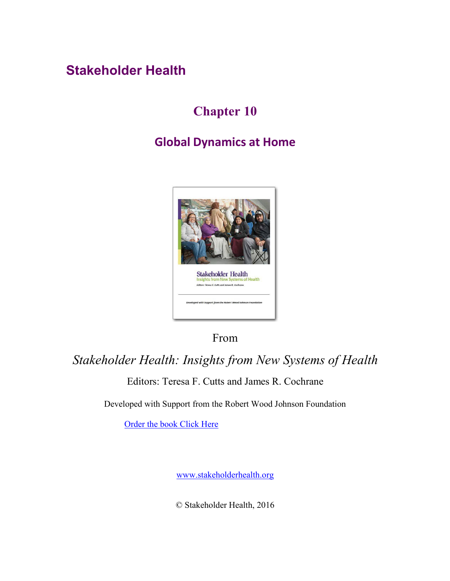# **Stakeholder Health**

# **Chapter 10**

## **Global Dynamics at Home**



From

# *Stakeholder Health: Insights from New Systems of Health*

## Editors: Teresa F. Cutts and James R. Cochrane

Developed with Support from the Robert Wood Johnson Foundation

Order the [book Click Here](https://www.amazon.com/Stakeholder-Health-Insights-New-Systems/dp/069270728X?ie=UTF8&keywords=%26%2334%3Bstakeholder%20health%26%2334%3B&qid=1464881294&ref_=sr_1_2&s=books&sr=1-2)

[www.stakeholderhealth.org](http://www.stakeholderhealth.org/)

© Stakeholder Health, 2016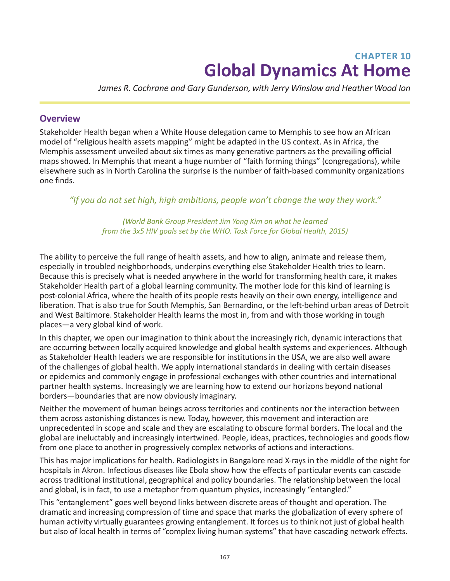# **CHAPTER 10 Global Dynamics At Home**

*James R. Cochrane and Gary Gunderson, with Jerry Winslow and Heather Wood Ion*

### **Overview**

Stakeholder Health began when a White House delegation came to Memphis to see how an African model of "religious health assets mapping" might be adapted in the US context. As in Africa, the Memphis assessment unveiled about six times as many generative partners as the prevailing official maps showed. In Memphis that meant a huge number of "faith forming things" (congregations), while elsewhere such as in North Carolina the surprise is the number of faith-based community organizations one finds.

*"If you do not set high, high ambitions, people won't change the way they work."*

*(World Bank Group President Jim Yong Kim on what he learned from the 3x5 HIV goals set by the WHO. Task Force for Global Health, 2015)*

The ability to perceive the full range of health assets, and how to align, animate and release them, especially in troubled neighborhoods, underpins everything else Stakeholder Health tries to learn. Because this is precisely what is needed anywhere in the world for transforming health care, it makes Stakeholder Health part of a global learning community. The mother lode for this kind of learning is post-colonial Africa, where the health of its people rests heavily on their own energy, intelligence and liberation. That is also true for South Memphis, San Bernardino, or the left-behind urban areas of Detroit and West Baltimore. Stakeholder Health learns the most in, from and with those working in tough places—a very global kind of work.

In this chapter, we open our imagination to think about the increasingly rich, dynamic interactionsthat are occurring between locally acquired knowledge and global health systems and experiences. Although as Stakeholder Health leaders we are responsible for institutionsin the USA, we are also well aware of the challenges of global health. We apply international standards in dealing with certain diseases or epidemics and commonly engage in professional exchanges with other countries and international partner health systems. Increasingly we are learning how to extend our horizons beyond national borders—boundaries that are now obviously imaginary.

Neither the movement of human beings across territories and continents nor the interaction between them across astonishing distances is new. Today, however, this movement and interaction are unprecedented in scope and scale and they are escalating to obscure formal borders. The local and the global are ineluctably and increasingly intertwined. People, ideas, practices, technologies and goods flow from one place to another in progressively complex networks of actions and interactions.

This has major implications for health. Radiologists in Bangalore read X-rays in the middle of the night for hospitals in Akron. Infectious diseases like Ebola show how the effects of particular events can cascade across traditional institutional, geographical and policy boundaries. The relationship between the local and global, is in fact, to use a metaphor from quantum physics, increasingly "entangled."

This "entanglement" goes well beyond links between discrete areas of thought and operation. The dramatic and increasing compression of time and space that marks the globalization of every sphere of human activity virtually guarantees growing entanglement. It forces us to think not just of global health but also of local health in terms of "complex living human systems" that have cascading network effects.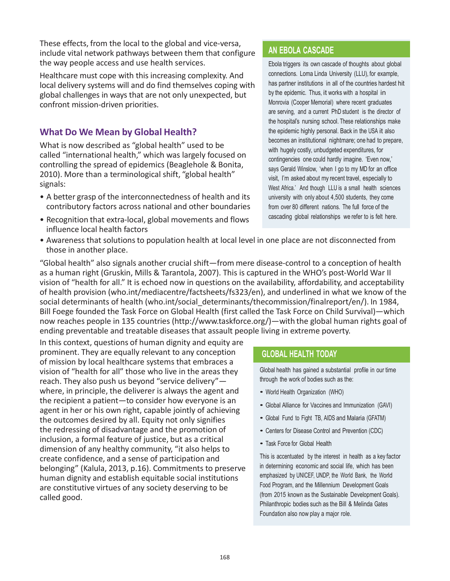These effects, from the local to the global and vice-versa, include vital network pathways between them that configure the way people access and use health services.

Healthcare must cope with this increasing complexity. And local delivery systems will and do find themselves coping with global challenges in ways that are not only unexpected, but confront mission-driven priorities.

## **What Do We Mean by Global Health?**

What is now described as "global health" used to be called "international health," which was largely focused on controlling the spread of epidemics (Beaglehole & Bonita, 2010). More than a terminological shift, "global health" signals:

- A better grasp of the interconnectedness of health and its contributory factors across national and other boundaries
- Recognition that extra-local, global movements and flows influence local health factors

**AN EBOLA CASCADE** Ebola triggers its own cascade of thoughts about global

connections. Loma Linda University (LLU), for example, has partner institutions in all of the countries hardest hit by the epidemic. Thus, it works with a hospital in Monrovia (Cooper Memorial) where recent graduates are serving, and a current PhD student is the director of the hospital's nursing school. These relationships make the epidemic highly personal. Back in the USA it also becomes an institutional nightmare; one had to prepare, with hugely costly, unbudgeted expenditures, for contingencies one could hardly imagine. 'Even now,' says Gerald Winslow, 'when I go to my MD for an office visit, I'm asked about my recent travel, especially to West Africa.' And though LLU is a small health sciences university with only about 4,500 students, they come from over 80 different nations. The full force of the cascading global relationships we refer to is felt here.

• Awareness that solutionsto population health at local level in one place are not disconnected from those in another place.

"Global health" also signals another crucial shift—from mere disease-control to a conception of health as a human right (Gruskin, Mills & Tarantola, 2007). This is captured in the WHO's post-World War II vision of "health for all." It is echoed now in questions on the availability, affordability, and acceptability of health provision (who.int/mediacentre/factsheets/fs323/en), and underlined in what we know of the social determinants of health (who.int/social\_determinants/thecommission/finalreport/en/). In 1984, Bill Foege founded the Task Force on Global Health (first called the Task Force on Child Survival)—which now reaches people in 135 countries [\(http://www.taskforce.org/\)—with](http://www.taskforce.org/)%E2%80%94with) the global human rights goal of ending preventable and treatable diseases that assault people living in extreme poverty.

In this context, questions of human dignity and equity are prominent. They are equally relevant to any conception of mission by local healthcare systems that embraces a vision of "health for all" those who live in the areas they reach. They also push us beyond "service delivery" where, in principle, the deliverer is always the agent and the recipient a patient—to consider how everyone is an agent in her or his own right, capable jointly of achieving the outcomes desired by all. Equity not only signifies the redressing of disadvantage and the promotion of inclusion, a formal feature of justice, but as a critical dimension of any healthy community, "it also helps to create confidence, and a sense of participation and belonging" (Kalula, 2013, p.16). Commitments to preserve human dignity and establish equitable social institutions are constitutive virtues of any society deserving to be called good.

## **GLOBAL HEALTH TODAY**

Global health has gained a substantial profile in our time through the work of bodies such as the:

- World Health Organization (WHO)
- Global Alliance for Vaccines and Immunization (GAVI)
- Global Fund to Fight TB, AIDS and Malaria (GFATM)
- Centers for Disease Control and Prevention (CDC)
- Task Force for Global Health

This is accentuated by the interest in health as a key factor in determining economic and social life, which has been emphasized by UNICEF, UNDP, the World Bank, the World Food Program, and the Millennium Development Goals (from 2015 known as the Sustainable Development Goals). Philanthropic bodies such as the Bill & Melinda Gates Foundation also now play a major role.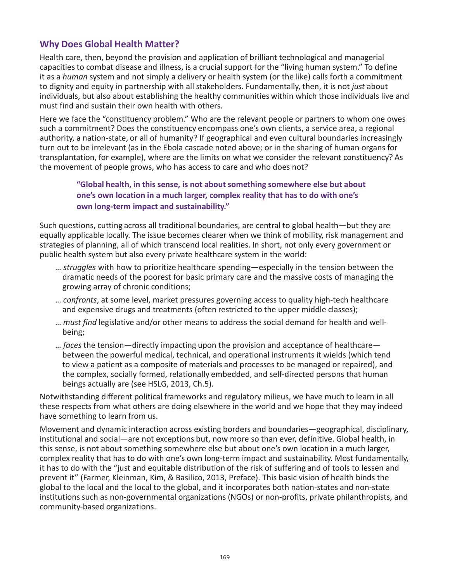## **Why Does Global Health Matter?**

Health care, then, beyond the provision and application of brilliant technological and managerial capacitiesto combat disease and illness, is a crucial support for the "living human system." To define it as a *human* system and not simply a delivery or health system (or the like) calls forth a commitment to dignity and equity in partnership with all stakeholders. Fundamentally, then, it is not *just* about individuals, but also about establishing the healthy communities within which those individuals live and must find and sustain their own health with others.

Here we face the "constituency problem." Who are the relevant people or partners to whom one owes such a commitment? Does the constituency encompass one's own clients, a service area, a regional authority, a nation-state, or all of humanity? If geographical and even cultural boundaries increasingly turn out to be irrelevant (as in the Ebola cascade noted above; or in the sharing of human organs for transplantation, for example), where are the limits on what we consider the relevant constituency? As the movement of people grows, who has access to care and who does not?

### **"Global health, in this sense, is not about something somewhere else but about one's own location in a much larger, complex reality that has to do with one's own long-term impact and sustainability."**

Such questions, cutting across all traditional boundaries, are central to global health—but they are equally applicable locally. The issue becomes clearer when we think of mobility, risk management and strategies of planning, all of which transcend local realities. In short, not only every government or public health system but also every private healthcare system in the world:

- … *struggles* with how to prioritize healthcare spending—especially in the tension between the dramatic needs of the poorest for basic primary care and the massive costs of managing the growing array of chronic conditions;
- … *confronts*, at some level, market pressures governing access to quality high-tech healthcare and expensive drugs and treatments (often restricted to the upper middle classes);
- … *must find* legislative and/or other means to address the social demand for health and wellbeing;
- … *faces* the tension—directly impacting upon the provision and acceptance of healthcare between the powerful medical, technical, and operational instruments it wields (which tend to view a patient as a composite of materials and processes to be managed or repaired), and the complex, socially formed, relationally embedded, and self-directed persons that human beings actually are (see HSLG, 2013, Ch.5).

Notwithstanding different political frameworks and regulatory milieus, we have much to learn in all these respects from what others are doing elsewhere in the world and we hope that they may indeed have something to learn from us.

Movement and dynamic interaction across existing borders and boundaries—geographical, disciplinary, institutional and social—are not exceptions but, now more so than ever, definitive. Global health, in this sense, is not about something somewhere else but about one's own location in a much larger, complex reality that has to do with one's own long-term impact and sustainability. Most fundamentally, it has to do with the "just and equitable distribution of the risk of suffering and of tools to lessen and prevent it" (Farmer, Kleinman, Kim, & Basilico, 2013, Preface). This basic vision of health binds the global to the local and the local to the global, and it incorporates both nation-states and non-state institutionssuch as non-governmental organizations (NGOs) or non-profits, private philanthropists, and community-based organizations.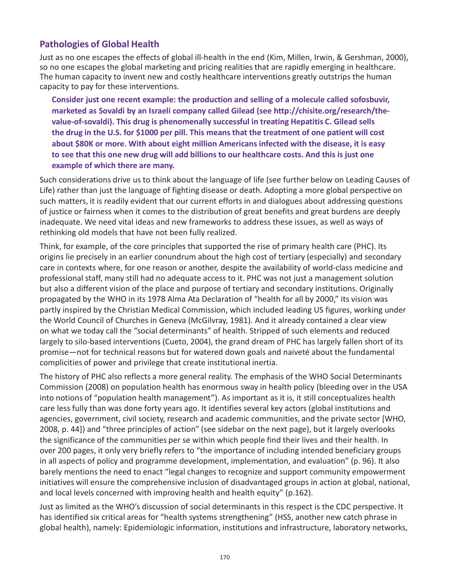## **Pathologies of Global Health**

Just as no one escapes the effects of global ill-health in the end (Kim, Millen, Irwin, & Gershman, 2000), so no one escapes the global marketing and pricing realities that are rapidly emerging in healthcare. The human capacity to invent new and costly healthcare interventions greatly outstrips the human capacity to pay for these interventions.

**Consider just one recent example: the production and selling of a molecule called sofosbuvir, marketed as Sovaldi by an Israeli company called Gilead (see [http://chisite.org/research/the](http://chisite.org/research/the-)value-of-sovaldi). This drug is phenomenally successful in treating Hepatitis C. Gilead sells** the drug in the U.S. for \$1000 per pill. This means that the treatment of one patient will cost **about \$80K or more. With about eight million Americans infected with the disease, it is easy**  to see that this one new drug will add billions to our healthcare costs. And this is just one **example of which there are many.**

Such considerations drive us to think about the language of life (see further below on Leading Causes of Life) rather than just the language of fighting disease or death. Adopting a more global perspective on such matters, it is readily evident that our current efforts in and dialogues about addressing questions of justice or fairness when it comes to the distribution of great benefits and great burdens are deeply inadequate. We need vital ideas and new frameworks to address these issues, as well as ways of rethinking old models that have not been fully realized.

Think, for example, of the core principles that supported the rise of primary health care (PHC). Its origins lie precisely in an earlier conundrum about the high cost of tertiary (especially) and secondary care in contexts where, for one reason or another, despite the availability of world-class medicine and professional staff, many still had no adequate access to it. PHC was not just a management solution but also a different vision of the place and purpose of tertiary and secondary institutions. Originally propagated by the WHO in its 1978 Alma Ata Declaration of "health for all by 2000," its vision was partly inspired by the Christian Medical Commission, which included leading US figures, working under the World Council of Churches in Geneva (McGilvray, 1981). And it already contained a clear view on what we today call the "social determinants" of health. Stripped of such elements and reduced largely to silo-based interventions (Cueto, 2004), the grand dream of PHC has largely fallen short of its promise—not for technical reasons but for watered down goals and naiveté about the fundamental complicities of power and privilege that create institutional inertia.

The history of PHC also reflects a more general reality. The emphasis of the WHO Social Determinants Commission (2008) on population health has enormous sway in health policy (bleeding over in the USA into notions of "population health management"). As important as it is, it still conceptualizes health care less fully than was done forty years ago. It identifies several key actors (global institutions and agencies, government, civil society, research and academic communities, and the private sector [WHO, 2008, p. 44]) and "three principles of action" (see sidebar on the next page), but it largely overlooks the significance of the communities per se within which people find their lives and their health. In over 200 pages, it only very briefly refers to "the importance of including intended beneficiary groups in all aspects of policy and programme development, implementation, and evaluation" (p. 96). It also barely mentions the need to enact "legal changes to recognize and support community empowerment initiatives will ensure the comprehensive inclusion of disadvantaged groups in action at global, national, and local levels concerned with improving health and health equity" (p.162).

Just as limited as the WHO's discussion of social determinants in this respect is the CDC perspective. It has identified six critical areas for "health systems strengthening" (HSS, another new catch phrase in global health), namely: Epidemiologic information, institutions and infrastructure, laboratory networks,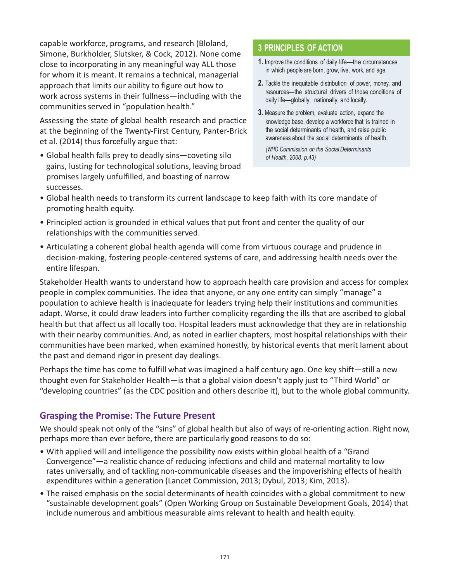capable workforce, programs, and research (Bloland, Simone, Burkholder, Slutsker, & Cock, 2012). None come close to incorporating in any meaningful way ALL those for whom it is meant. It remains a technical, managerial approach that limits our ability to figure out how to work across systems in their fullness—including with the communities served in "population health."

Assessing the state of global health research and practice at the beginning of the Twenty-First Century, Panter-Brick et al. (2014) thus forcefully argue that:

• Global health falls prey to deadly sins—coveting silo gains, lusting for technological solutions, leaving broad promises largely unfulfilled, and boasting of narrow successes.

## **3 PRINCIPLES OF ACTION**

- **1.** Improve the conditions of daily life—the circumstances in which people are born, grow, live, work, and age.
- **2.** Tackle the inequitable distribution of power, money, and resources—the structural drivers of those conditions of daily life—globally, nationally, and locally.
- **3.** Measure the problem, evaluate action, expand the knowledge base, develop a workforce that is trained in the social determinants of health, and raise public awareness about the social determinants of health.

*(WHO Commission on the Social Determinants of Health, 2008, p.43)*

- Global health needs to transform its current landscape to keep faith with its core mandate of promoting health equity.
- Principled action is grounded in ethical values that put front and center the quality of our relationships with the communities served.
- Articulating a coherent global health agenda will come from virtuous courage and prudence in decision-making, fostering people-centered systems of care, and addressing health needs over the entire lifespan.

Stakeholder Health wants to understand how to approach health care provision and access for complex people in complex communities. The idea that anyone, or any one entity can simply "manage" a population to achieve health is inadequate for leaders trying help their institutions and communities adapt. Worse, it could draw leaders into further complicity regarding the ills that are ascribed to global health but that affect us all locally too. Hospital leaders must acknowledge that they are in relationship with their nearby communities. And, as noted in earlier chapters, most hospital relationships with their communities have been marked, when examined honestly, by historical events that merit lament about the past and demand rigor in present day dealings.

Perhaps the time has come to fulfill what was imagined a half century ago. One key shift—still a new thought even for Stakeholder Health—is that a global vision doesn't apply just to "Third World" or "developing countries" (as the CDC position and others describe it), but to the whole global community.

## **Grasping the Promise: The Future Present**

We should speak not only of the "sins" of global health but also of ways of re-orienting action. Right now, perhaps more than ever before, there are particularly good reasons to do so:

- With applied will and intelligence the possibility now exists within global health of a "Grand Convergence"—a realistic chance of reducing infections and child and maternal mortality to low rates universally, and of tackling non-communicable diseases and the impoverishing effects of health expenditures within a generation (Lancet Commission, 2013; Dybul, 2013; Kim, 2013).
- The raised emphasis on the social determinants of health coincides with a global commitment to new "sustainable development goals" (Open Working Group on Sustainable Development Goals, 2014) that include numerous and ambitious measurable aims relevant to health and health equity.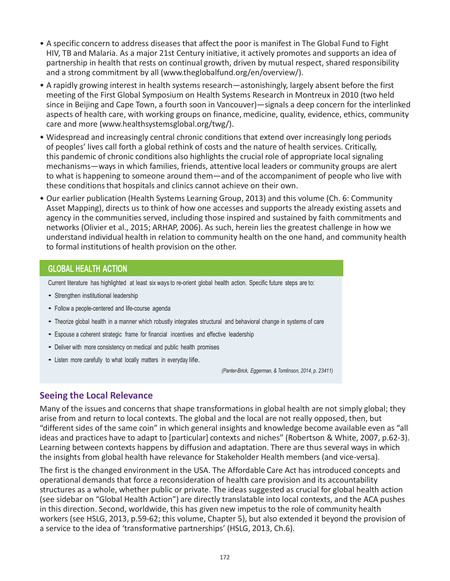- A specific concern to address diseases that affect the poor is manifest in The Global Fund to Fight HIV, TB and Malaria. As a major 21st Century initiative, it actively promotes and supports an idea of partnership in health that rests on continual growth, driven by mutual respect, shared responsibility and a strong commitment by all [\(www.theglobalfund.org/en/overview/\).](http://www.theglobalfund.org/en/overview/))
- A rapidly growing interest in health systems research—astonishingly, largely absent before the first meeting of the First Global Symposium on Health Systems Research in Montreux in 2010 (two held since in Beijing and Cape Town, a fourth soon in Vancouver)—signals a deep concern for the interlinked aspects of health care, with working groups on finance, medicine, quality, evidence, ethics, community care and more [\(www.healthsystemsglobal.org/twg/\).](http://www.healthsystemsglobal.org/twg/))
- Widespread and increasingly central chronic conditionsthat extend over increasingly long periods of peoples' lives call forth a global rethink of costs and the nature of health services. Critically, this pandemic of chronic conditions also highlights the crucial role of appropriate local signaling mechanisms—ways in which families, friends, attentive local leaders or community groups are alert to what is happening to someone around them—and of the accompaniment of people who live with these conditions that hospitals and clinics cannot achieve on their own.
- Our earlier publication (Health Systems Learning Group, 2013) and this volume (Ch. 6: Community Asset Mapping), directs us to think of how one accesses and supports the already existing assets and agency in the communities served, including those inspired and sustained by faith commitments and networks (Olivier et al., 2015; ARHAP, 2006). As such, herein lies the greatest challenge in how we understand individual health in relation to community health on the one hand, and community health to formal institutions of health provision on the other.

## **GLOBAL HEALTH ACTION**

Current literature has highlighted at least six ways to re-orient global health action. Specific future steps are to:

- Strengthen institutional leadership
- Follow <sup>a</sup> people-centered and life-course agenda
- Theorize global health in <sup>a</sup> manner which robustly integrates structural and behavioral change in systems of care
- Espouse <sup>a</sup> coherent strategic frame for financial incentives and effective leadership
- Deliver with more consistency on medical and public health promises
- Listen more carefully to what locally matters in everyday life.

*(Panter-Brick, Eggerman, & Tomlinson, 2014, p. 23411)*

## **Seeing the Local Relevance**

Many of the issues and concerns that shape transformations in global health are not simply global; they arise from and return to local contexts. The global and the local are not really opposed, then, but "different sides of the same coin" in which general insights and knowledge become available even as "all" ideas and practices have to adapt to [particular] contexts and niches" (Robertson & White, 2007, p.62-3). Learning between contexts happens by diffusion and adaptation. There are thus several ways in which the insights from global health have relevance for Stakeholder Health members (and vice-versa).

The first is the changed environment in the USA. The Affordable Care Act has introduced concepts and operational demands that force a reconsideration of health care provision and its accountability structures as a whole, whether public or private. The ideas suggested as crucial for global health action (see sidebar on "Global Health Action") are directly translatable into local contexts, and the ACA pushes in this direction. Second, worldwide, this has given new impetus to the role of community health workers (see HSLG, 2013, p.59-62; this volume, Chapter 5), but also extended it beyond the provision of a service to the idea of 'transformative partnerships' (HSLG, 2013, Ch.6).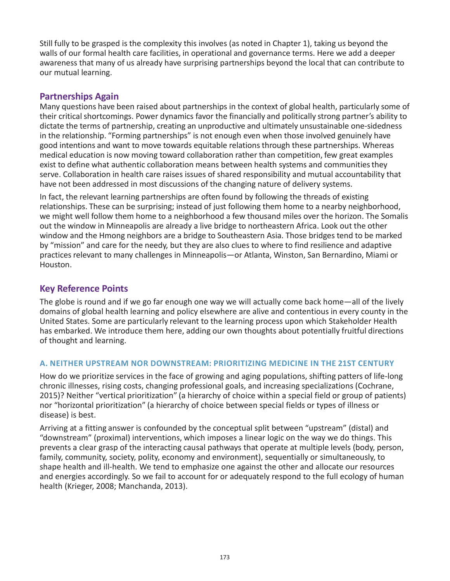Still fully to be grasped is the complexity this involves (as noted in Chapter 1), taking us beyond the walls of our formal health care facilities, in operational and governance terms. Here we add a deeper awareness that many of us already have surprising partnerships beyond the local that can contribute to our mutual learning.

### **Partnerships Again**

Many questions have been raised about partnerships in the context of global health, particularly some of their critical shortcomings. Power dynamics favor the financially and politically strong partner's ability to dictate the terms of partnership, creating an unproductive and ultimately unsustainable one-sidedness in the relationship. "Forming partnerships" is not enough even when those involved genuinely have good intentions and want to move towards equitable relationsthrough these partnerships. Whereas medical education is now moving toward collaboration rather than competition, few great examples exist to define what authentic collaboration means between health systems and communitiesthey serve. Collaboration in health care raises issues of shared responsibility and mutual accountability that have not been addressed in most discussions of the changing nature of delivery systems.

In fact, the relevant learning partnerships are often found by following the threads of existing relationships. These can be surprising; instead of just following them home to a nearby neighborhood, we might well follow them home to a neighborhood a few thousand miles over the horizon. The Somalis out the window in Minneapolis are already a live bridge to northeastern Africa. Look out the other window and the Hmong neighbors are a bridge to Southeastern Asia. Those bridges tend to be marked by "mission" and care for the needy, but they are also clues to where to find resilience and adaptive practicesrelevant to many challenges in Minneapolis—or Atlanta, Winston, San Bernardino, Miami or Houston.

### **Key Reference Points**

The globe is round and if we go far enough one way we will actually come back home—all of the lively domains of global health learning and policy elsewhere are alive and contentious in every county in the United States. Some are particularly relevant to the learning process upon which Stakeholder Health has embarked. We introduce them here, adding our own thoughts about potentially fruitful directions of thought and learning.

#### **A. NEITHER UPSTREAM NOR DOWNSTREAM: PRIORITIZING MEDICINE IN THE 21ST CENTURY**

How do we prioritize services in the face of growing and aging populations, shifting patters of life-long chronic illnesses, rising costs, changing professional goals, and increasing specializations (Cochrane, 2015)? Neither "vertical prioritization" (a hierarchy of choice within a special field or group of patients) nor "horizontal prioritization" (a hierarchy of choice between special fields or types of illness or disease) is best.

Arriving at a fitting answer is confounded by the conceptual split between "upstream" (distal) and "downstream" (proximal) interventions, which imposes a linear logic on the way we do things. This prevents a clear grasp of the interacting causal pathways that operate at multiple levels (body, person, family, community, society, polity, economy and environment), sequentially or simultaneously, to shape health and ill-health. We tend to emphasize one against the other and allocate our resources and energies accordingly. So we fail to account for or adequately respond to the full ecology of human health (Krieger, 2008; Manchanda, 2013).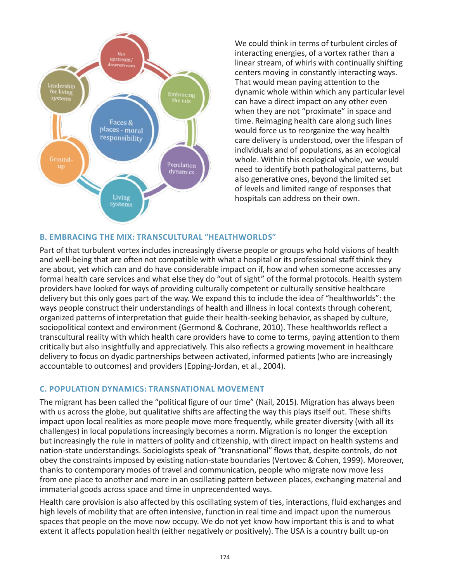

We could think in terms of turbulent circles of interacting energies, of a vortex rather than a linear stream, of whirls with continually shifting centers moving in constantly interacting ways. That would mean paying attention to the dynamic whole within which any particular level can have a direct impact on any other even when they are not "proximate" in space and time. Reimaging health care along such lines would force us to reorganize the way health care delivery is understood, over the lifespan of individuals and of populations, as an ecological whole. Within this ecological whole, we would need to identify both pathological patterns, but also generative ones, beyond the limited set of levels and limited range of responses that hospitals can address on their own.

#### **B. EMBRACING THE MIX: TRANSCULTURAL "HEALTHWORLDS"**

Part of that turbulent vortex includes increasingly diverse people or groups who hold visions of health and well-being that are often not compatible with what a hospital or its professional staff think they are about, yet which can and do have considerable impact on if, how and when someone accesses any formal health care services and what else they do "out of sight" of the formal protocols. Health system providers have looked for ways of providing culturally competent or culturally sensitive healthcare delivery but this only goes part of the way. We expand this to include the idea of "healthworlds": the ways people construct their understandings of health and illness in local contexts through coherent, organized patterns of interpretation that guide their health-seeking behavior, as shaped by culture, sociopolitical context and environment (Germond & Cochrane, 2010). These healthworlds reflect a transcultural reality with which health care providers have to come to terms, paying attention to them critically but also insightfully and appreciatively. This also reflects a growing movement in healthcare delivery to focus on dyadic partnerships between activated, informed patients (who are increasingly accountable to outcomes) and providers (Epping-Jordan, et al., 2004).

#### **C. POPULATION DYNAMICS: TRANSNATIONAL MOVEMENT**

The migrant has been called the "political figure of our time" (Nail, 2015). Migration has always been with us across the globe, but qualitative shifts are affecting the way this plays itself out. These shifts impact upon local realities as more people move more frequently, while greater diversity (with all its challenges) in local populationsincreasingly becomes a norm. Migration is no longer the exception but increasingly the rule in matters of polity and citizenship, with direct impact on health systems and nation-state understandings. Sociologists speak of "transnational" flows that, despite controls, do not obey the constraints imposed by existing nation-state boundaries (Vertovec & Cohen, 1999). Moreover, thanks to contemporary modes of travel and communication, people who migrate now move less from one place to another and more in an oscillating pattern between places, exchanging material and immaterial goods across space and time in unprecendented ways.

Health care provision is also affected by this oscillating system of ties, interactions, fluid exchanges and high levels of mobility that are often intensive, function in real time and impact upon the numerous spaces that people on the move now occupy. We do not yet know how important this is and to what extent it affects population health (either negatively or positively). The USA is a country built up-on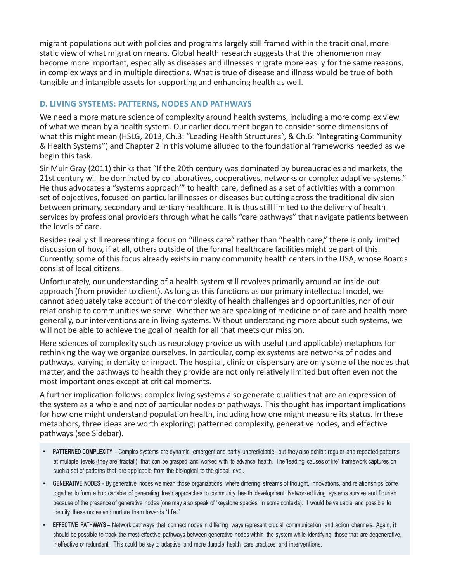migrant populations but with policies and programs largely still framed within the traditional, more static view of what migration means. Global health research suggests that the phenomenon may become more important, especially as diseases and illnesses migrate more easily for the same reasons, in complex ways and in multiple directions. What is true of disease and illness would be true of both tangible and intangible assets for supporting and enhancing health as well.

#### **D. LIVING SYSTEMS: PATTERNS, NODES AND PATHWAYS**

We need a more mature science of complexity around health systems, including a more complex view of what we mean by a health system. Our earlier document began to consider some dimensions of what this might mean (HSLG, 2013, Ch.3: "Leading Health Structures", & Ch.6: "Integrating Community & Health Systems") and Chapter 2 in this volume alluded to the foundational frameworks needed as we begin this task.

Sir Muir Gray (2011) thinks that "If the 20th century was dominated by bureaucracies and markets, the 21st century will be dominated by collaboratives, cooperatives, networks or complex adaptive systems." He thus advocates a "systems approach'" to health care, defined as a set of activities with a common set of objectives, focused on particular illnesses or diseases but cutting across the traditional division between primary, secondary and tertiary healthcare. It is thus still limited to the delivery of health services by professional providers through what he calls "care pathways" that navigate patients between the levels of care.

Besides really still representing a focus on "illness care" rather than "health care," there is only limited discussion of how, if at all, others outside of the formal healthcare facilities might be part of this. Currently, some of this focus already exists in many community health centers in the USA, whose Boards consist of local citizens.

Unfortunately, our understanding of a health system still revolves primarily around an inside-out approach (from provider to client). As long as this functions as our primary intellectual model, we cannot adequately take account of the complexity of health challenges and opportunities, nor of our relationship to communities we serve. Whether we are speaking of medicine or of care and health more generally, our interventions are in living systems. Without understanding more about such systems, we will not be able to achieve the goal of health for all that meets our mission.

Here sciences of complexity such as neurology provide us with useful (and applicable) metaphors for rethinking the way we organize ourselves. In particular, complex systems are networks of nodes and pathways, varying in density or impact. The hospital, clinic or dispensary are only some of the nodes that matter, and the pathways to health they provide are not only relatively limited but often even not the most important ones except at critical moments.

A further implication follows: complex living systems also generate qualities that are an expression of the system as a whole and not of particular nodes or pathways. This thought has important implications for how one might understand population health, including how one might measure its status. In these metaphors, three ideas are worth exploring: patterned complexity, generative nodes, and effective pathways (see Sidebar).

- **PATTERNED COMPLEXITY** Complex systems are dynamic, emergent and partly unpredictable, but they also exhibit regular and repeated patterns at multiple levels (they are 'fractal') that can be grasped and worked with to advance health. The 'leading causes of life' framework captures on such a set of patterns that are applicable from the biological to the global level.
- **GENERATIVE NODES** By generative nodes we mean those organizations where differing streams of thought, innovations, and relationships come together to form a hub capable of generating fresh approaches to community health development. Networked living systems survive and flourish because of the presence of generative nodes (one may also speak of 'keystone species' in some contexts). It would be valuable and possible to identify these nodes and nurture them towards 'life.'
- **EFFECTIVE PATHWAYS** Network pathways that connect nodes in differing ways represent crucial communication and action channels. Again, it should be possible to track the most effective pathways between generative nodes within the system while identifying those that are degenerative, ineffective or redundant. This could be key to adaptive and more durable health care practices and interventions.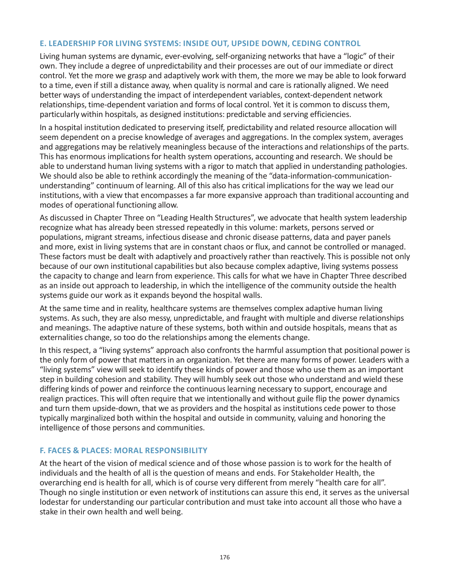#### **E. LEADERSHIP FOR LIVING SYSTEMS: INSIDE OUT, UPSIDE DOWN, CEDING CONTROL**

Living human systems are dynamic, ever-evolving, self-organizing networks that have a "logic" of their own. They include a degree of unpredictability and their processes are out of our immediate or direct control. Yet the more we grasp and adaptively work with them, the more we may be able to look forward to a time, even if still a distance away, when quality is normal and care is rationally aligned. We need better ways of understanding the impact of interdependent variables, context-dependent network relationships, time-dependent variation and forms of local control. Yet it is common to discuss them, particularly within hospitals, as designed institutions: predictable and serving efficiencies.

In a hospital institution dedicated to preserving itself, predictability and related resource allocation will seem dependent on a precise knowledge of averages and aggregations. In the complex system, averages and aggregations may be relatively meaningless because of the interactions and relationships of the parts. This has enormous implications for health system operations, accounting and research. We should be able to understand human living systems with a rigor to match that applied in understanding pathologies. We should also be able to rethink accordingly the meaning of the "data-information-communicationunderstanding" continuum of learning. All of this also has critical implicationsfor the way we lead our institutions, with a view that encompasses a far more expansive approach than traditional accounting and modes of operational functioning allow.

As discussed in Chapter Three on "Leading Health Structures", we advocate that health system leadership recognize what has already been stressed repeatedly in this volume: markets, persons served or populations, migrant streams, infectious disease and chronic disease patterns, data and payer panels and more, exist in living systems that are in constant chaos or flux, and cannot be controlled or managed. These factors must be dealt with adaptively and proactively rather than reactively. This is possible not only because of our own institutional capabilities but also because complex adaptive, living systems possess the capacity to change and learn from experience. This calls for what we have in Chapter Three described as an inside out approach to leadership, in which the intelligence of the community outside the health systems guide our work as it expands beyond the hospital walls.

At the same time and in reality, healthcare systems are themselves complex adaptive human living systems. As such, they are also messy, unpredictable, and fraught with multiple and diverse relationships and meanings. The adaptive nature of these systems, both within and outside hospitals, means that as externalities change, so too do the relationships among the elements change.

In this respect, a "living systems" approach also confronts the harmful assumption that positional power is the only form of power that mattersin an organization. Yet there are many forms of power. Leaders with a "living systems" view will seek to identify these kinds of power and those who use them as an important step in building cohesion and stability. They will humbly seek out those who understand and wield these differing kinds of power and reinforce the continuouslearning necessary to support, encourage and realign practices. This will often require that we intentionally and without guile flip the power dynamics and turn them upside-down, that we as providers and the hospital as institutions cede power to those typically marginalized both within the hospital and outside in community, valuing and honoring the intelligence of those persons and communities.

#### **F. FACES & PLACES: MORAL RESPONSIBILITY**

At the heart of the vision of medical science and of those whose passion is to work for the health of individuals and the health of all is the question of means and ends. For Stakeholder Health, the overarching end is health for all, which is of course very different from merely "health care for all". Though no single institution or even network of institutions can assure this end, it serves as the universal lodestar for understanding our particular contribution and must take into account all those who have a stake in their own health and well being.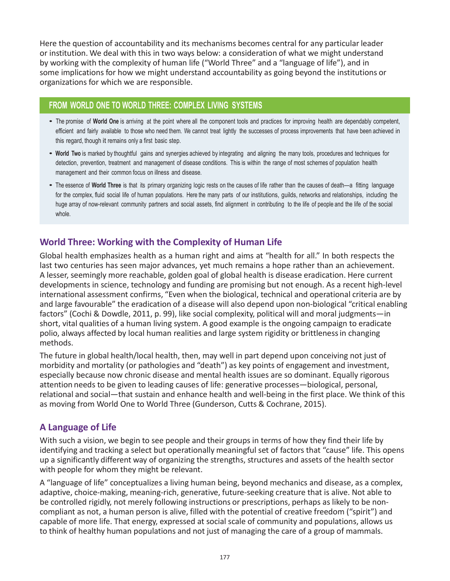Here the question of accountability and its mechanisms becomes central for any particular leader or institution. We deal with this in two ways below: a consideration of what we might understand by working with the complexity of human life ("World Three" and a "language of life"), and in some implications for how we might understand accountability as going beyond the institutions or organizations for which we are responsible.

### **FROM WORLD ONE TO WORLD THREE: COMPLEX LIVING SYSTEMS**

- The promise of **World One** is arriving at the point where all the component tools and practices for improving health are dependably competent, efficient and fairly available to those who need them. We cannot treat lightly the successes of process improvements that have been achieved in this regard, though it remains only a first basic step.
- **World Two** is marked by thoughtful gains and synergies achieved by integrating and aligning the many tools, procedures and techniques for detection, prevention, treatment and management of disease conditions. This is within the range of most schemes of population health management and their common focus on illness and disease.
- The essence of **World Three** is that its primary organizing logic rests on the causes of life rather than the causes of death—a fitting language for the complex, fluid social life of human populations. Here the many parts of our institutions, guilds, networks and relationships, including the huge array of now-relevant community partners and social assets, find alignment in contributing to the life of people and the life of the social whole.

## **World Three: Working with the Complexity of Human Life**

Global health emphasizes health as a human right and aims at "health for all." In both respects the last two centuries has seen major advances, yet much remains a hope rather than an achievement. A lesser, seemingly more reachable, golden goal of global health is disease eradication. Here current developments in science, technology and funding are promising but not enough. As a recent high-level international assessment confirms, "Even when the biological, technical and operational criteria are by and large favourable" the eradication of a disease will also depend upon non-biological "critical enabling factors" (Cochi & Dowdle, 2011, p. 99), like social complexity, political will and moral judgments—in short, vital qualities of a human living system. A good example is the ongoing campaign to eradicate polio, always affected by local human realities and large system rigidity or brittlenessin changing methods.

The future in global health/local health, then, may well in part depend upon conceiving not just of morbidity and mortality (or pathologies and "death") as key points of engagement and investment, especially because now chronic disease and mental health issues are so dominant. Equally rigorous attention needs to be given to leading causes of life: generative processes—biological, personal, relational and social—that sustain and enhance health and well-being in the first place. We think of this as moving from World One to World Three (Gunderson, Cutts & Cochrane, 2015).

## **A Language of Life**

With such a vision, we begin to see people and their groups in terms of how they find their life by identifying and tracking a select but operationally meaningful set of factors that "cause" life. This opens up a significantly different way of organizing the strengths, structures and assets of the health sector with people for whom they might be relevant.

A "language of life" conceptualizes a living human being, beyond mechanics and disease, as a complex, adaptive, choice-making, meaning-rich, generative, future-seeking creature that is alive. Not able to be controlled rigidly, not merely following instructions or prescriptions, perhaps as likely to be noncompliant as not, a human person is alive, filled with the potential of creative freedom ("spirit") and capable of more life. That energy, expressed at social scale of community and populations, allows us to think of healthy human populations and not just of managing the care of a group of mammals.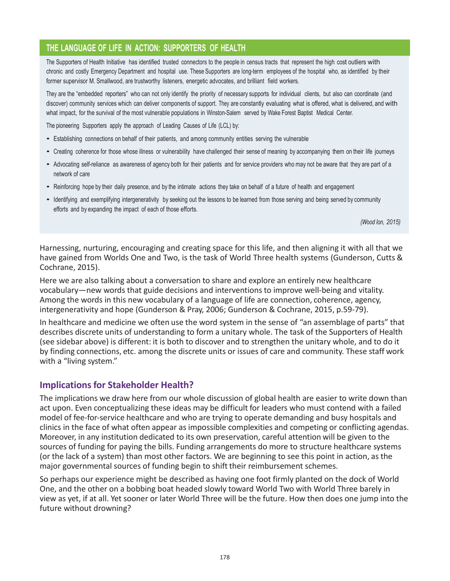## **THE LANGUAGE OF LIFE IN ACTION: SUPPORTERS OF HEALTH**

The Supporters of Health Initiative has identified trusted connectors to the people in census tracts that represent the high cost outliers with chronic and costly Emergency Department and hospital use. These Supporters are long-term employees of the hospital who, as identified by their former supervisor M. Smallwood, are trustworthy listeners, energetic advocates, and brilliant field workers.

They are the "embedded reporters" who can not only identify the priority of necessary supports for individual clients, but also can coordinate (and discover) community services which can deliver components of support. They are constantly evaluating what is offered, what is delivered, and with what impact, for the survival of the most vulnerable populations in Winston-Salem served by Wake Forest Baptist Medical Center.

The pioneering Supporters apply the approach of Leading Causes of Life (LCL) by:

- Establishing connections on behalf of their patients, and among community entities serving the vulnerable
- Creating coherence for those whose illness or vulnerability have challenged their sense of meaning by accompanying them on their life journeys
- Advocating self-reliance as awareness of agency both for their patients and for service providers who may not be aware that they are part of <sup>a</sup> network of care
- Reinforcing hope by their daily presence, and by the intimate actions they take on behalf of <sup>a</sup> future of health and engagement
- Identifying and exemplifying intergenerativity by seeking out the lessons to be learned from those serving and being served by community efforts and by expanding the impact of each of those efforts.

*(Wood Ion, 2015)*

Harnessing, nurturing, encouraging and creating space for this life, and then aligning it with all that we have gained from Worlds One and Two, is the task of World Three health systems (Gunderson, Cutts & Cochrane, 2015).

Here we are also talking about a conversation to share and explore an entirely new healthcare vocabulary—new words that guide decisions and interventions to improve well-being and vitality. Among the words in this new vocabulary of a language of life are connection, coherence, agency, intergenerativity and hope (Gunderson & Pray, 2006; Gunderson & Cochrane, 2015, p.59-79).

In healthcare and medicine we often use the word system in the sense of "an assemblage of parts" that describes discrete units of understanding to form a unitary whole. The task of the Supporters of Health (see sidebar above) is different: it is both to discover and to strengthen the unitary whole, and to do it by finding connections, etc. among the discrete units or issues of care and community. These staff work with a "living system."

### **Implications for Stakeholder Health?**

The implications we draw here from our whole discussion of global health are easier to write down than act upon. Even conceptualizing these ideas may be difficult for leaders who must contend with a failed model of fee-for-service healthcare and who are trying to operate demanding and busy hospitals and clinics in the face of what often appear as impossible complexities and competing or conflicting agendas. Moreover, in any institution dedicated to its own preservation, careful attention will be given to the sources of funding for paying the bills. Funding arrangements do more to structure healthcare systems (or the lack of a system) than most other factors. We are beginning to see this point in action, as the major governmental sources of funding begin to shift their reimbursement schemes.

So perhaps our experience might be described as having one foot firmly planted on the dock of World One, and the other on a bobbing boat headed slowly toward World Two with World Three barely in view as yet, if at all. Yet sooner or later World Three will be the future. How then does one jump into the future without drowning?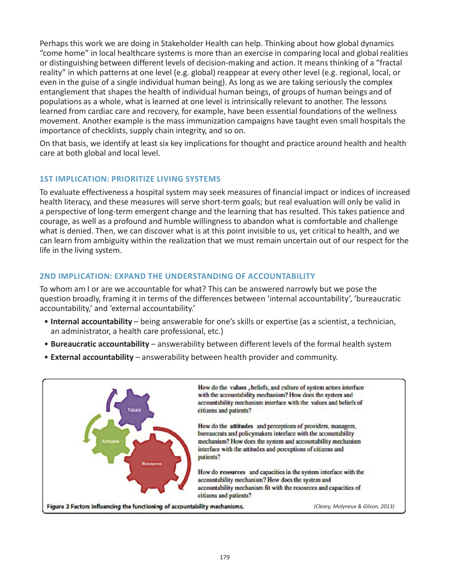Perhaps this work we are doing in Stakeholder Health can help. Thinking about how global dynamics "come home" in local healthcare systems is more than an exercise in comparing local and global realities or distinguishing between different levels of decision-making and action. It means thinking of a "fractal reality" in which patterns at one level (e.g. global) reappear at every other level (e.g. regional, local, or even in the guise of a single individual human being). As long as we are taking seriously the complex entanglement that shapes the health of individual human beings, of groups of human beings and of populations as a whole, what is learned at one level is intrinsically relevant to another. The lessons learned from cardiac care and recovery, for example, have been essential foundations of the wellness movement. Another example is the mass immunization campaigns have taught even small hospitals the importance of checklists, supply chain integrity, and so on.

On that basis, we identify at least six key implications for thought and practice around health and health care at both global and local level.

#### **1ST IMPLICATION: PRIORITIZE LIVING SYSTEMS**

To evaluate effectiveness a hospital system may seek measures of financial impact or indices of increased health literacy, and these measures will serve short-term goals; but real evaluation will only be valid in a perspective of long-term emergent change and the learning that has resulted. This takes patience and courage, as well as a profound and humble willingness to abandon what is comfortable and challenge what is denied. Then, we can discover what is at this point invisible to us, yet critical to health, and we can learn from ambiguity within the realization that we must remain uncertain out of our respect for the life in the living system.

#### **2ND IMPLICATION: EXPAND THE UNDERSTANDING OF ACCOUNTABILITY**

To whom am I or are we accountable for what? This can be answered narrowly but we pose the question broadly, framing it in terms of the differences between 'internal accountability', 'bureaucratic accountability,' and 'external accountability.'

- **Internal accountability** being answerable for one's skills or expertise (as a scientist, a technician, an administrator, a health care professional, etc.)
- **Bureaucratic accountability** answerability between different levels of the formal health system
- **External accountability** answerability between health provider and community.

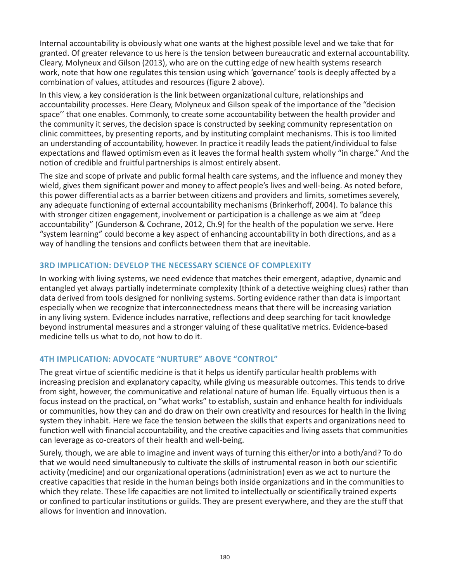Internal accountability is obviously what one wants at the highest possible level and we take that for granted. Of greater relevance to us here is the tension between bureaucratic and external accountability. Cleary, Molyneux and Gilson (2013), who are on the cutting edge of new health systems research work, note that how one regulates this tension using which 'governance' tools is deeply affected by a combination of values, attitudes and resources (figure 2 above).

In this view, a key consideration is the link between organizational culture, relationships and accountability processes. Here Cleary, Molyneux and Gilson speak of the importance of the "decision space'' that one enables. Commonly, to create some accountability between the health provider and the community it serves, the decision space is constructed by seeking community representation on clinic committees, by presenting reports, and by instituting complaint mechanisms. This is too limited an understanding of accountability, however. In practice it readily leads the patient/individual to false expectations and flawed optimism even as it leaves the formal health system wholly "in charge." And the notion of credible and fruitful partnerships is almost entirely absent.

The size and scope of private and public formal health care systems, and the influence and money they wield, gives them significant power and money to affect people's lives and well-being. As noted before, this power differential acts as a barrier between citizens and providers and limits, sometimes severely, any adequate functioning of external accountability mechanisms (Brinkerhoff, 2004). To balance this with stronger citizen engagement, involvement or participation is a challenge as we aim at "deep accountability" (Gunderson & Cochrane, 2012, Ch.9) for the health of the population we serve. Here "system learning" could become a key aspect of enhancing accountability in both directions, and as a way of handling the tensions and conflicts between them that are inevitable.

#### **3RD IMPLICATION: DEVELOP THE NECESSARY SCIENCE OF COMPLEXITY**

In working with living systems, we need evidence that matches their emergent, adaptive, dynamic and entangled yet always partially indeterminate complexity (think of a detective weighing clues) rather than data derived from tools designed for nonliving systems. Sorting evidence rather than data is important especially when we recognize that interconnectedness means that there will be increasing variation in any living system. Evidence includes narrative, reflections and deep searching for tacit knowledge beyond instrumental measures and a stronger valuing of these qualitative metrics. Evidence-based medicine tells us what to do, not how to do it.

### **4TH IMPLICATION: ADVOCATE "NURTURE" ABOVE "CONTROL"**

The great virtue of scientific medicine is that it helps us identify particular health problems with increasing precision and explanatory capacity, while giving us measurable outcomes. This tends to drive from sight, however, the communicative and relational nature of human life. Equally virtuous then is a focus instead on the practical, on "what works" to establish, sustain and enhance health for individuals or communities, how they can and do draw on their own creativity and resources for health in the living system they inhabit. Here we face the tension between the skills that experts and organizations need to function well with financial accountability, and the creative capacities and living assets that communities can leverage as co-creators of their health and well-being.

Surely, though, we are able to imagine and invent ways of turning this either/or into a both/and? To do that we would need simultaneously to cultivate the skills of instrumental reason in both our scientific activity (medicine) and our organizational operations (administration) even as we act to nurture the creative capacities that reside in the human beings both inside organizations and in the communities to which they relate. These life capacities are not limited to intellectually or scientifically trained experts or confined to particular institutions or guilds. They are present everywhere, and they are the stuff that allows for invention and innovation.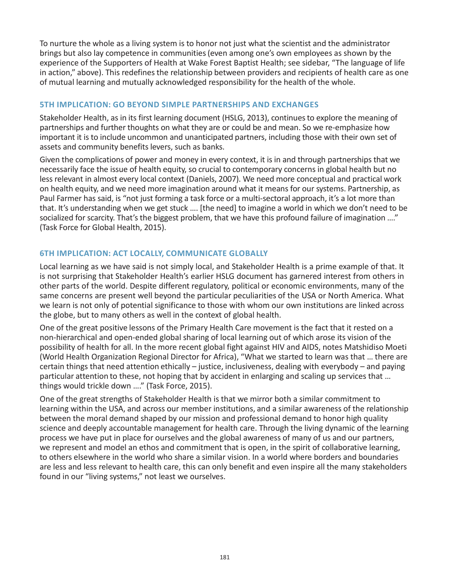To nurture the whole as a living system is to honor not just what the scientist and the administrator brings but also lay competence in communities(even among one's own employees as shown by the experience of the Supporters of Health at Wake Forest Baptist Health; see sidebar, "The language of life in action," above). This redefines the relationship between providers and recipients of health care as one of mutual learning and mutually acknowledged responsibility for the health of the whole.

#### **5TH IMPLICATION: GO BEYOND SIMPLE PARTNERSHIPS AND EXCHANGES**

Stakeholder Health, as in its first learning document (HSLG, 2013), continuesto explore the meaning of partnerships and further thoughts on what they are or could be and mean. So we re-emphasize how important it is to include uncommon and unanticipated partners, including those with their own set of assets and community benefits levers, such as banks.

Given the complications of power and money in every context, it is in and through partnerships that we necessarily face the issue of health equity, so crucial to contemporary concerns in global health but no less relevant in almost every local context (Daniels, 2007). We need more conceptual and practical work on health equity, and we need more imagination around what it means for our systems. Partnership, as Paul Farmer has said, is "not just forming a task force or a multi-sectoral approach, it's a lot more than that. It's understanding when we get stuck …. [the need] to imagine a world in which we don't need to be socialized for scarcity. That's the biggest problem, that we have this profound failure of imagination …." (Task Force for Global Health, 2015).

### **6TH IMPLICATION: ACT LOCALLY, COMMUNICATE GLOBALLY**

Local learning as we have said is not simply local, and Stakeholder Health is a prime example of that. It is not surprising that Stakeholder Health's earlier HSLG document has garnered interest from others in other parts of the world. Despite different regulatory, political or economic environments, many of the same concerns are present well beyond the particular peculiarities of the USA or North America. What we learn is not only of potential significance to those with whom our own institutions are linked across the globe, but to many others as well in the context of global health.

One of the great positive lessons of the Primary Health Care movement is the fact that it rested on a non-hierarchical and open-ended global sharing of local learning out of which arose its vision of the possibility of health for all. In the more recent global fight against HIV and AIDS, notes Matshidiso Moeti (World Health Organization Regional Director for Africa), "What we started to learn was that … there are certain things that need attention ethically – justice, inclusiveness, dealing with everybody – and paying particular attention to these, not hoping that by accident in enlarging and scaling up services that … things would trickle down …." (Task Force, 2015).

One of the great strengths of Stakeholder Health is that we mirror both a similar commitment to learning within the USA, and across our member institutions, and a similar awareness of the relationship between the moral demand shaped by our mission and professional demand to honor high quality science and deeply accountable management for health care. Through the living dynamic of the learning process we have put in place for ourselves and the global awareness of many of us and our partners, we represent and model an ethos and commitment that is open, in the spirit of collaborative learning, to others elsewhere in the world who share a similar vision. In a world where borders and boundaries are less and less relevant to health care, this can only benefit and even inspire all the many stakeholders found in our "living systems," not least we ourselves.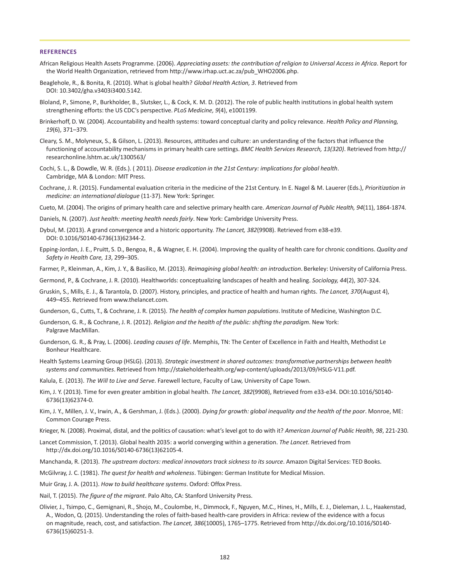#### **REFERENCES**

- African Religious Health Assets Programme. (2006). *Appreciating assets: the contribution of religion to Universal Access in Africa*. Report for the World Health Organization, retrieved from [http://www.irhap.uct.ac.za/pub\\_WHO2006.php.](http://www.irhap.uct.ac.za/pub_WHO2006.php)
- Beaglehole, R., & Bonita, R. (2010). What is global health? *Global Health Action, 3*. Retrieved from DOI: 10.3402/gha.v3403i3400.5142.
- Bloland, P., Simone, P., Burkholder, B., Slutsker, L., & Cock, K. M. D. (2012). The role of public health institutionsin global health system strengthening efforts: the US CDC's perspective. *PLoS Medicine, 9*(4), e1001199.
- Brinkerhoff, D. W. (2004). Accountability and health systems: toward conceptual clarity and policy relevance. *Health Policy and Planning, 19*(6), 371–379.
- Cleary, S. M., Molyneux, S., & Gilson, L. (2013). Resources, attitudes and culture: an understanding of the factors that influence the functioning of accountability mechanisms in primary health care settings. *BMC Health Services Research, 13(320)*. Retrieved from http:// researchonline.lshtm.ac.uk/1300563/
- Cochi, S. L., & Dowdle, W. R. (Eds.). ( 2011). *Disease eradication in the 21st Century: implicationsfor global health*. Cambridge, MA & London: MIT Press.
- Cochrane, J. R. (2015). Fundamental evaluation criteria in the medicine of the 21st Century. In E. Nagel & M. Lauerer (Eds.), *Prioritization in medicine: an international dialogue* (11-37). New York: Springer.
- Cueto, M. (2004). The origins of primary health care and selective primary health care. *American Journal of Public Health, 94*(11), 1864-1874.
- Daniels, N. (2007). *Just health: meeting health needs fairly*. New York: Cambridge University Press.
- Dybul, M. (2013). A grand convergence and a historic opportunity. *The Lancet, 382*(9908). Retrieved from e38-e39. DOI: 0.1016/S0140-6736(13)62344-2.
- Epping-Jordan, J. E., Pruitt, S. D., Bengoa, R., & Wagner, E. H. (2004). Improving the quality of health care for chronic conditions. *Quality and Safety in Health Care, 13*, 299–305.
- Farmer, P., Kleinman, A., Kim, J. Y., & Basilico, M. (2013). *Reimagining global health: an introduction*. Berkeley: University of California Press.
- Germond, P., & Cochrane, J. R. (2010). Healthworlds: conceptualizing landscapes of health and healing. *Sociology, 44*(2), 307-324.
- Gruskin, S., Mills, E. J., & Tarantola, D. (2007). History, principles, and practice of health and human rights. *The Lancet, 370*(August 4), 449–455. Retrieved from [www.thelancet.com.](http://www.thelancet.com/)
- Gunderson, G., Cutts, T., & Cochrane, J. R. (2015). *The health of complex human populations*. Institute of Medicine, Washington D.C.
- Gunderson, G. R., & Cochrane, J. R. (2012). *Religion and the health of the public: shifting the paradigm*. New York: Palgrave MacMillan.
- Gunderson, G. R., & Pray, L. (2006). *Leading causes of life*. Memphis, TN: The Center of Excellence in Faith and Health, Methodist Le Bonheur Healthcare.
- Health Systems Learning Group (HSLG). (2013). *Strategic investment in shared outcomes: transformative partnerships between health systems and communities*. Retrieved from [http://stakeholderhealth.org/wp-content/uploads/2013/09/HSLG-V11.pdf.](http://stakeholderhealth.org/wp-content/uploads/2013/09/HSLG-V11.pdf)
- Kalula, E. (2013). *The Will to Live and Serve*. Farewell lecture, Faculty of Law, University of Cape Town.
- Kim, J. Y. (2013). Time for even greater ambition in global health. *The Lancet, 382*(9908), Retrieved from e33-e34. DOI:10.1016/S0140- 6736(13)62374-0.
- Kim, J. Y., Millen, J. V., Irwin, A., & Gershman, J. (Eds.). (2000). *Dying for growth: global inequality and the health of the poor*. Monroe, ME: Common Courage Press.
- Krieger, N. (2008). Proximal, distal, and the politics of causation: what's level got to do with it? *American Journal of Public Health, 98*, 221-230.
- Lancet Commission, T. (2013). Global health 2035: a world converging within a generation. *The Lancet*. Retrieved from [http://dx.doi.org/10.1016/S0140-6736\(13\)62105-4.](http://dx.doi.org/10.1016/S0140-6736(13)62105-4)
- Manchanda, R. (2013). *The upstream doctors: medical innovators track sickness to its source*. Amazon Digital Services: TED Books.
- McGilvray, J. C. (1981). *The quest for health and wholeness*. Tübingen: German Institute for Medical Mission.
- Muir Gray, J. A. (2011). *How to build healthcare systems*. Oxford: Offox Press.
- Nail, T. (2015). *The figure of the migrant*. Palo Alto, CA: Stanford University Press.
- Olivier, J., Tsimpo, C., Gemignani, R., Shojo, M., Coulombe, H., Dimmock, F., Nguyen, M.C., Hines, H., Mills, E. J., Dieleman, J. L., Haakenstad, A., Wodon, Q. (2015). Understanding the roles of faith-based health-care providers in Africa: review of the evidence with a focus on magnitude, reach, cost, and satisfaction. *The Lancet, 386*(10005), 1765–1775. Retrieved from <http://dx.doi.org/10.1016/S0140-> 6736(15)60251-3.